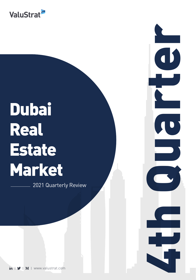

# Dubai **Real Estate Market**

2021 Quarterly Review

**Ath Quarter** 

 $\bullet$ 

in  $\mathbf{y} \mid \mathbf{M} \mid$  [www.valustrat.com](https://valustrat.com)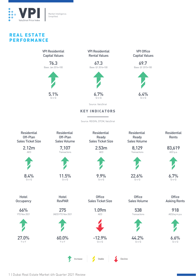

#### REAL ESTATE PERFORMANCE

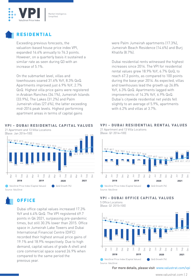

#### RESIDENTIAL

Exceeding previous forecasts, the valuation-based house price index VPI, expanded 16.6% annually to 76.3 points. However, on a quarterly basis it sustained a similar rate as seen during Q3 with an increase of 5.1%.

On the submarket level, villas and townhouses soared 31.6% YoY, 8.3% QoQ. Apartments improved just 6.9% YoY, 2.7% QoQ. Highest villa price gains were registered in Arabian Ranches (34.1%), Jumeirah Islands (33.9%), The Lakes (31.2%) and Palm Jumeirah villas (27.6%), the latter exceeding mid-2014 peak levels. Highest performing apartment areas in terms of capital gains

#### VPI - DUBAI RESIDENTIAL CAPITAL VALUES

21 Apartment and 13 Villa Locations [Base: Jan 2014=100]



Dubai office capital values increased 17.3% YoY and 6.4% QoQ. The VPI registered 69.7 points in Q4 2021, surpassing pre-pandemic times, but still 30.3% lower than 2015. Office space in Jumeirah Lake Towers and Dubai International Financial Centre (DIFC) recorded their highest annual price gains of 19.1% and 18.9% respectively. Due to high demand, capital values of grade A shell and core commercial space soared 26.9% when compared to the same period the previous year.

were Palm Jumeirah apartments (17.3%), Jumeirah Beach Residence (14.6%) and Burj Khalifa (8.7%).

Dubai residential rents witnessed the highest increases since 2014. The VPI for residential rental values grew 18.9% YoY, 6.7% QoQ, to reach 67.3 points, as compared to 100 points during the base year 2014. As expected, villas and townhouses lead the growth up 26.8% YoY, 6.3% QoQ. Apartments lagged with improvements of 14.3% YoY, 6.9% QoQ. Dubai's citywide residential net yields fell slightly to an average of 5.9%, apartments with 6.2% and villas at 3.7%.



21 Apartment and 13 Villa Locations [Base: Q1 2014=100]



OFFICE VPI - DUBAI OFFICE CAPITAL VALUES

5 Office Locations [Base: Q1 2015=100]



#### For more details, please visit <www.valustrat.com/vpi>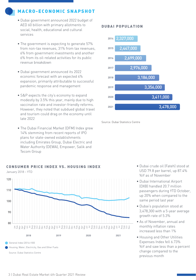#### MACRO-ECONOMIC SNAPSHOT

- Dubai government announced 2022 budget of AED 60 billion with primary allotments to social, health, educational and cultural services
- The government is expecting to generate 57% from non-tax revenues, 31% from tax revenues, 6% from government investments and another 6% from its oil-related activities for its public revenue breakdown
- Dubai government announced its 2022 economic forecast with an expected 4% expansion, primarily attributable to successful pandemic response and management
- S&P expects the city's economy to expand modestly by 3.5% this year, mainly due to high vaccination rate and investor-friendly reforms. However, they noted that subdued global travel and tourism could drag on the economy until late 2022
- The Dubai Financial Market (DFM) Index grew 14% stemming from recent reports of IPO plans for state-owned establishments including Emirates Group, Dubai Electric and Water Authority (DEWA), Empower, Salik and Tecom Group

#### CONSUMER PRICE INDEX VS. HOUSING INDEX

January 2018 – YTD



#### DUBAI POPULATION



Source: Dubai Statistics Centre

- Dubai crude oil (Fateh) stood at USD 79.8 per barrel, up 87.4% YoY as of November
- Dubai International Airport (DXB) handled 20.7 million passengers during YTD October, up 20% when compared to the same period last year
- Dubai's population stood at 3,478,300 with a 5-year average growth rate of 5.3%
- As of November, annual and monthly inflation rates increased less than 1%
- Housing and Other Utilities Expenses Index fell 6.73% YoY and saw less than a percent change compared to the previous month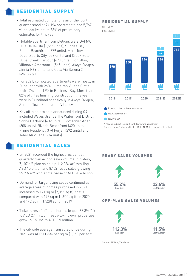#### RESIDENTIAL SUPPLY

- Total estimated completions as of the fourth quarter stood at 24,196 apartments and 5,767 villas, equivalent to 53% of preliminary estimates for this year
- Notable apartment completions were DAMAC Hills Bellavista (1,555 units), Sunrise Bay Emaar Beachfront (879 units), Hera Tower Dubai Sports City (529 units) and Creek Gate Dubai Creek Harbour (490 units). For villas, Villanova Amaranta 1 (565 units), Akoya Oxygen Zinnia (499 units) and Casa Via Serena 3 (494 units)
- For 2021, completed apartments were mostly in Dubailand with 26%, Jumeirah Village Circle took 17%, and 12% in Business Bay. More than 82% of villas finishing construction this year were in Dubailand specifically in Akoya Oxygen, Serena, Town Square and Villanova
- Key off-plan projects announced during Q4 included Waves Grande The Waterfront District Sobha Hartland (432 units), Skyz Tower Arjan (808 units), Riveria Beachfront (420 units), Prime Residency 3 Al Furjan (292 units) and Jebel Ali Village (274 units)

#### RESIDENTIAL SALES

- Q4 2021 recorded the highest residential quarterly transaction sales volume in history, 7,107 off-plan sales, up 112.3% YoY totalling AED 15 billion and 8,129 ready sales growing 55.2% YoY with a total value of AED 20.6 billion
- Demand for larger living space continued as average areas of homes purchased in 2021 increased to 191 sq m (2,056 sq ft), that's compared with 177 sq m (1,905 sq ft) in 2020, and 142 sq m (1,528) sq ft in 2019
- Ticket sizes of off-plan homes leaped 68.3% YoY to AED 2.1 million, ready-to-move-in properties grew 16.8% YoY to AED 2.5 million
- The citywide average transacted price during 2021 was AED 11,334 per sq m (1,053 per sq ft)

#### RESIDENTIAL SUPPLY





\* May be subject to significant downward adjustment Source: Dubai Statistics Centre, REIDIN, MEED Projects, ValuStrat

#### READY SALES VOLUMES



#### OFF-PLAN SALES VOLUMES





Source: REIDIN, ValuStrat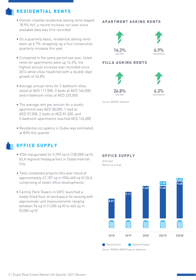#### RESIDENTIAL RENTS

- Overall citywide residential asking rents leaped 18.9% YoY, a record increase not seen since available data was first recorded
- On a quarterly basis, residential asking rents were up 6.7%, wrapping-up a four consecutive quarterly increase this year
- Compared to the same period last year, listed rents for apartments were up 14.3%, the highest annual increase ever recorded since 2014 while villas headlined with a double-digit growth of 26.8%
- Average annual rents for 2-bedroom villas stood at AED 117,000, 3-beds at AED 166,000, and 4-bedroom villas at AED 235,000
- The average rent per annum for a studio apartment was AED 38,000, 1-bed at AED 57,000, 2-beds at AED 81,000, and 3-bedroom apartments reached AED 126,000
- Residential occupancy in Dubai was estimated at 83% this quarter

#### OFFICE SUPPLY

- VISA inaugurated its 9,290 sq m (100,000 sq ft) GLA regional headquarters in Dubai Internet City
- Total completed projects this year stood at approximately 47,187 sq m (506,640 sq ft) GLA comprising of seven office developments
- Central Park Towers in DIFC launched a newly fitted floor of workspace for leasing with approximate unit measurements ranging between 96 sq m (1,030 sq ft) to 465 sq m (5,000 sq ft)

#### APARTMENT ASKING RENTS



#### VILLA ASKING RENTS





Source: REIDIN, ValuStrat

#### OFFICE SUPPLY

(Million sq m GLA) 2018-2022



Source: REIDIN, MEED Projects, ValuStrat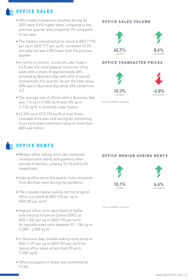#### OFFICE SALES

- Office sales transaction volumes during Q4 2021 were 8.6% higher when compared to the previous quarter and jumped 45.7% compared to last year
- The median transacted price stood at AED 7,718 per sq m (AED 717 per sq ft), increased 10.3% annually but was 4.8% lower than the previous quarter
- In terms of volume, Jumeirah Lake Towers (JLT) was the most popular choice for office sales with a share of approximately 48%, followed by Business Bay with 40% of overall transactions this quarter. As per the total value, 40% was in Business Bay while 33% came from JLT
- The average size of offices sold in Business Bay was 112 sq m (1,205 sq ft) and 105 sq m (1,132 sq ft) in Jumeirah Lake Towers
- 47,395 sq m (510,153 sq ft) of total Gross Leasable Area was sold during Q3, amounting to an estimated investment value of more than AED 442 million

#### OFFICE RENTS

- Median office asking rents saw sustained increases both yearly and quarterly after periods of decline, jumping 10.1% and 6.6%, respectively
- Asking office rents this quarter fully recovered from declines seen during the pandemic
- The citywide median asking rent for a typical office size stood at AED 918 per sq m (AED 85 per sq ft)
- Highest office rents were found in Dubai International Financial Centre (DIFC) at AED 1,832 per sq m (AED 170 per sq ft) for typically sized units between 93 – 186 sq m (1,000 – 2,000 sq ft)
- In Business Bay, median asking rents stood at AED 1,101 per sq m (AED 102 per sq ft) for typical office areas of less than 93 sq m (1,000 sq ft)
- Office occupancy in Dubai was estimated at 77.5%

#### OFFICE SALES VOLUME



#### OFFICE TRANSACTED PRICES





Source: REIDIN, ValuStrat

#### OFFICE MEDIAN ASKING RENTS





Source: REIDIN, ValuStrat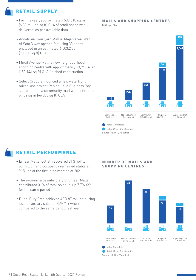#### RETAIL SUPPLY

- For this year, approximately 588,510 sq m (6.33 million sq ft) GLA of retail space was delivered, as per available data
- Andalusia Courtyard Mall in Majan area, Wadi Al Safa 3 was opened featuring 33 shops enclosed in an estimated 6,503.2 sq m (70,000 sq ft) GLA
- Mirdif Avenue Mall, a new neighbourhood shopping centre with approximately 13,949 sq m (150,146 sq ft) GLA finished construction
- Select Group announced a new waterfront mixed-use project Peninsula in Business Bay set to include a community mall with estimated 6,132 sq m (66,000 sq ft) GLA

#### MALLS AND SHOPPING CENTRES

('000 sq m GLA)



Source: REIDIN, ValuStrat

## RETAIL PERFORMANCE

- Emaar Malls footfall recovered 21% YoY to 68 million and occupancy remained stable at 91%, as of the first nine months of 2021
- The e-commerce subsidiary of Emaar Malls contributed 31% of total revenue, up 7.7% YoY for the same period
- Dubai Duty Free achieved AED 87 million during its anniversary sale, up 25% YoY when compared to the same period last year

#### NUMBER OF MALLS AND SHOPPING CENTRES

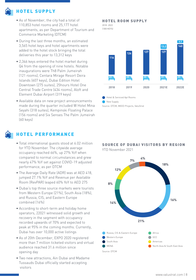#### HOTEL SUPPLY

- As of November, the city had a total of 110,853 hotel rooms and 25,177 hotel apartments, as per Department of Tourism and Commerce Marketing (DTCM)
- During the last three months, an estimated 3,565 hotel keys and hotel apartments were added to the hotel stock bringing the total deliveries this year to 13,312 keys
- 2,346 keys entered the hotel market during Q4 from the opening of nine hotels. Notable inaugurations were Th8 Palm Jumeirah (121 rooms), Centara Mirage Resort Deira Islands (607 keys), Dubai Edition Hotel Downtown (275 suites), 25hours Hotel One Central Trade Centre (434 rooms), Aloft and Element Dubai Airport (319 keys)
- Available data on new project announcements made during the quarter included W Hotel Mina Seyahi (318 suites), Kempinski Floating Palace (156 rooms) and Six Senses The Palm Jumeirah (60 keys)

#### HOTEL PERFORMANCE

- Total international guests stood at 6.02 million for YTD November. The citywide average occupancy reached 66%, up 27% YoY when compared to normal circumstances and grew nearly 47% YoY set against COVID-19 adjusted performance, as per DTCM
- The Average Daily Rate (ADR) was at AED 418, jumped 27.1% YoY and Revenue per Available Room (RevPAR) leaped 60% YoY to AED 275
- Dubai's top three source markets were tourists from Western Europe (21%), South Asia (18%), and Russia, CIS, and Eastern Europe combined (16%)
- According to short-term and holiday home operators, 22021 witnessed solid growth and recovery in the segment with occupancy recorded upwards of 70% and expected to peak at 95% in the coming months. Currently, Dubai has over 10,000 active listings
- As of 20th December, EXPO 2020 registered more than 7 million ticketed visitors and virtual audience reached 31.6 million since opening day
- Two new attractions, Ain Dubai and Madame Tussauds Dubai officially started accepting visitors

#### HOTEL ROOM SUPPLY

```
2018 -2022
```
('000 KEYS)



New Supply

Source: DTCM, MEED Projects, ValuStrat

#### SOURCE OF DUBAI VISITORS BY REGION

YTD November 2021

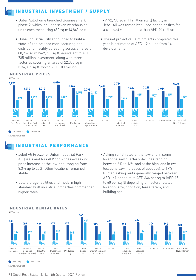#### INDUSTRIAL INVESTMENT / SUPPLY

- Dubai Autodrome launched Business Park phase 2, which includes seven warehousing units each measuring 450 sq m (4,843 sq ft)
- Dubai Industrial City announced to build a state-of-the-art food manufacturing and distribution facility spreading across an area of 88,257 sq m (949,990 sq ft) equivalent to AED 735 million investment, along with three factories covering an area of 22,000 sq m (236,806 sq ft) worth AED 100 million
- A 92,903 sq m (1 million sq ft) facility in Jebel Ali was rented by a used-car sales firm for a contract value of more than AED 40 million
- The net project value of projects completed this year is estimated at AED 1.2 billion from 14 developments



#### INDUSTRIAL PRICES

Source: ValuStrat

- Jebel Ali Freezone, Dubai Industrial Park, Al Qusais and Ras Al Khor witnessed asking price increase at the low-end, ranging from 8.3% up to 25%. Other locations remained stable.
- Cold storage facilities and modern high standard built industrial properties commanded higher rates

INDUSTRIAL RENTAL RATES

• Asking rental rates at the low-end in some locations saw quarterly declines ranging between 6% to 16% and at the high-end in two locations saw increases of about 5% to 19%. Quoted asking rents generally ranged between AED 161 per sq m to AED 646 per sq m (AED 15 to 60 per sq ft) depending on factors related location, size, condition, lease terms, and building age



Source: ValuStrat

# INDUSTRIAL PERFORMANCE

9 | Dubai Real Estate Market 4th Quarter 2021 Review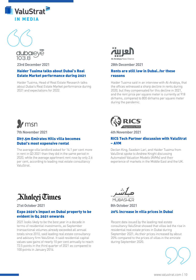



**23rd December 2021**

#### Haider Tuaima talks about Dubai's Real Estate Market performance during 2021

Haider Tuaima, Head of Real Estate Research talks about Dubai's Real Estate Market performance during 2021 and expectations for 2022.



**7th November 2021**

#### Dh7.5m Emirates Hills villa becomes Dubai's most expensive rental

The average villa landlord asked for 14.1 per cent more in rent in Q3 2021 than they did in the same period in 2020, while the average apartment rent rose by only 2.6 per cent, according to leading real estate consultancy ValuStrat.



**28th December 2021**

#### Rents are still low in Dubai..for these reasons

Haider Tuaima said in an interview with Al-Arabiya, that the offices witnessed a sharp decline in rents during 2020, but they compensated for this decline in 2021, and the rent price per square meter is currently at 918 dirhams, compared to 800 dirhams per square meter during the pandemic.



**4th November 2021**

#### RICS Tech Partner discussion with ValuStrat — AVM

Declan King, Saadain Lari, and Haider Tuaima from ValuStrat spoke to Andrew Knight discussing Automated Valuation Models (AVMs) and their experience of markets in the Middle East and the UK.

## **Khalcej Times**

**21st October 2021**

#### Expo 2020's impact on Dubai property to be evident in Q4 2021 onwards

2021 looks likely to be the best year in a decade in terms of residential investments, as September transactional volumes already exceeded all annual totals since 2010, said leading real estate consultancy and advisory firm ValuStrat. It said residential capital values saw gains of nearly 10 per cent annually to reach 72.5 points in the third quarter of 2021 as compared to 100 points in January 2014.

MI IRASLIER

**8th October 2021**

#### 20% increase in villa prices in Dubai

Recent data issued by the leading real estate consultancy ValuStrat showed that villas led the rise in residential real estate prices in Dubai during September 2021; As their prices increased by about 20% compared to the prices of villas in the emirate during September 2020.